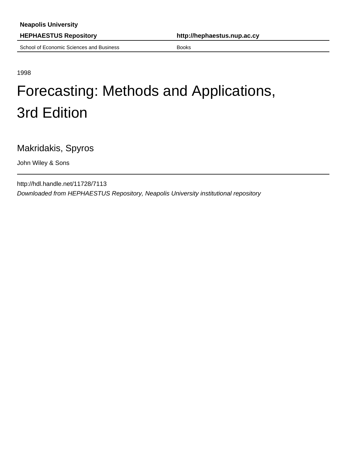School of Economic Sciences and Business Books Books

**HEPHAESTUS Repository http://hephaestus.nup.ac.cy**

1998

## Forecasting: Methods and Applications, 3rd Edition

Makridakis, Spyros

John Wiley & Sons

http://hdl.handle.net/11728/7113 Downloaded from HEPHAESTUS Repository, Neapolis University institutional repository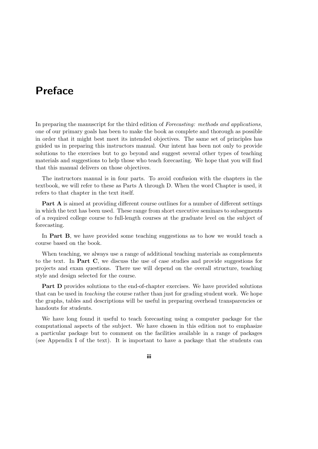## Preface

In preparing the manuscript for the third edition of Forecasting: methods and applications, one of our primary goals has been to make the book as complete and thorough as possible in order that it might best meet its intended objectives. The same set of principles has guided us in preparing this instructors manual. Our intent has been not only to provide solutions to the exercises but to go beyond and suggest several other types of teaching materials and suggestions to help those who teach forecasting. We hope that you will find that this manual delivers on those objectives.

The instructors manual is in four parts. To avoid confusion with the chapters in the textbook, we will refer to these as Parts A through D. When the word Chapter is used, it refers to that chapter in the text itself.

Part A is aimed at providing different course outlines for a number of different settings in which the text has been used. These range from short executive seminars to subsegments of a required college course to full-length courses at the graduate level on the subject of forecasting.

In Part B, we have provided some teaching suggestions as to how we would teach a course based on the book.

When teaching, we always use a range of additional teaching materials as complements to the text. In Part C, we discuss the use of case studies and provide suggestions for projects and exam questions. There use will depend on the overall structure, teaching style and design selected for the course.

Part D provides solutions to the end-of-chapter exercises. We have provided solutions that can be used in teaching the course rather than just for grading student work. We hope the graphs, tables and descriptions will be useful in preparing overhead transparencies or handouts for students.

We have long found it useful to teach forecasting using a computer package for the computational aspects of the subject. We have chosen in this edition not to emphasize a particular package but to comment on the facilities available in a range of packages (see Appendix I of the text). It is important to have a package that the students can

iii